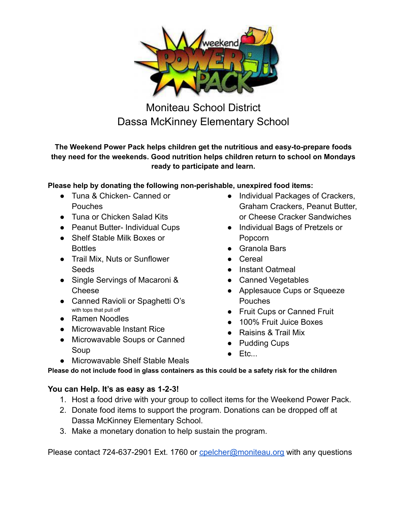

Moniteau School District Dassa McKinney Elementary School

**The Weekend Power Pack helps children get the nutritious and easy-to-prepare foods they need for the weekends. Good nutrition helps children return to school on Mondays ready to participate and learn.**

## **Please help by donating the following non-perishable, unexpired food items:**

- Tuna & Chicken- Canned or Pouches
- Tuna or Chicken Salad Kits
- Peanut Butter- Individual Cups
- Shelf Stable Milk Boxes or **Bottles**
- Trail Mix, Nuts or Sunflower Seeds
- Single Servings of Macaroni & Cheese
- Canned Ravioli or Spaghetti O's with tops that pull off
- Ramen Noodles
- Microwavable Instant Rice
- Microwavable Soups or Canned Soup
- Individual Packages of Crackers, Graham Crackers, Peanut Butter, or Cheese Cracker Sandwiches
- Individual Bags of Pretzels or Popcorn
- Granola Bars
- Cereal
- Instant Oatmeal
- Canned Vegetables
- Applesauce Cups or Squeeze Pouches
- Fruit Cups or Canned Fruit
- 100% Fruit Juice Boxes
- Raisins & Trail Mix
- Pudding Cups
- $\bullet$  Etc...
- Microwavable Shelf Stable Meals

**Please do not include food in glass containers as this could be a safety risk for the children**

## **You can Help. It's as easy as 1-2-3!**

- 1. Host a food drive with your group to collect items for the Weekend Power Pack.
- 2. Donate food items to support the program. Donations can be dropped off at Dassa McKinney Elementary School.
- 3. Make a monetary donation to help sustain the program.

Please contact 724-637-2901 Ext. 1760 or [cpelcher@moniteau.org](mailto:cpelcher@moniteau.org) with any questions